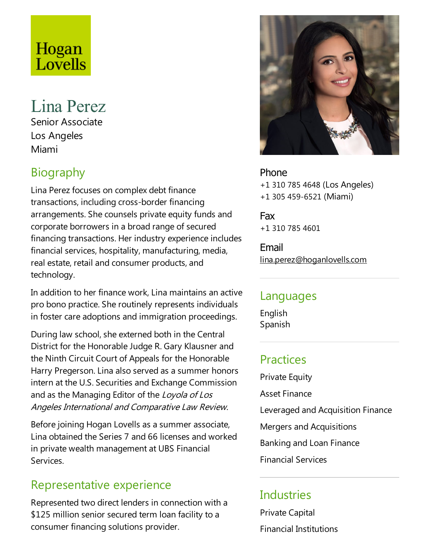# Hogan<br>Lovells

## Lina Perez

Senior Associate Los Angeles Miami

### **Biography**

Lina Perez focuses on complex debt finance transactions, including cross-border financing arrangements. She counsels private equity funds and corporate borrowers in a broad range of secured financing transactions. Her industry experience includes financial services, hospitality, manufacturing, media, real estate, retail and consumer products, and technology.

In addition to her finance work, Lina maintains an active pro bono practice. She routinely represents individuals in foster care adoptions and immigration proceedings.

During law school, she externed both in the Central District for the Honorable Judge R. Gary Klausner and the Ninth Circuit Court of Appeals for the Honorable Harry Pregerson. Lina also served as a summer honors intern at the U.S. Securities and Exchange Commission and as the Managing Editor of the Loyola of Los Angeles International and Comparative Law Review.

Before joining Hogan Lovells as a summer associate, Lina obtained the Series 7 and 66 licenses and worked in private wealth management at UBS Financial Services.

#### Representative experience

Represented two direct lenders in connection with a \$125 million senior secured term loan facility to a consumer financing solutions provider.



Phone +1 310 785 4648 (Los Angeles) +1 305 459-6521 (Miami)

Fax +1 310 785 4601

Email lina.perez@hoganlovells.com

#### Languages

English Spanish

#### **Practices**

**Private Equity Asset Finance** Leveraged and Acquisition Finance Mergers and Acquisitions Banking and Loan Finance Financial Services

#### **Industries**

Private Capital Financial Institutions